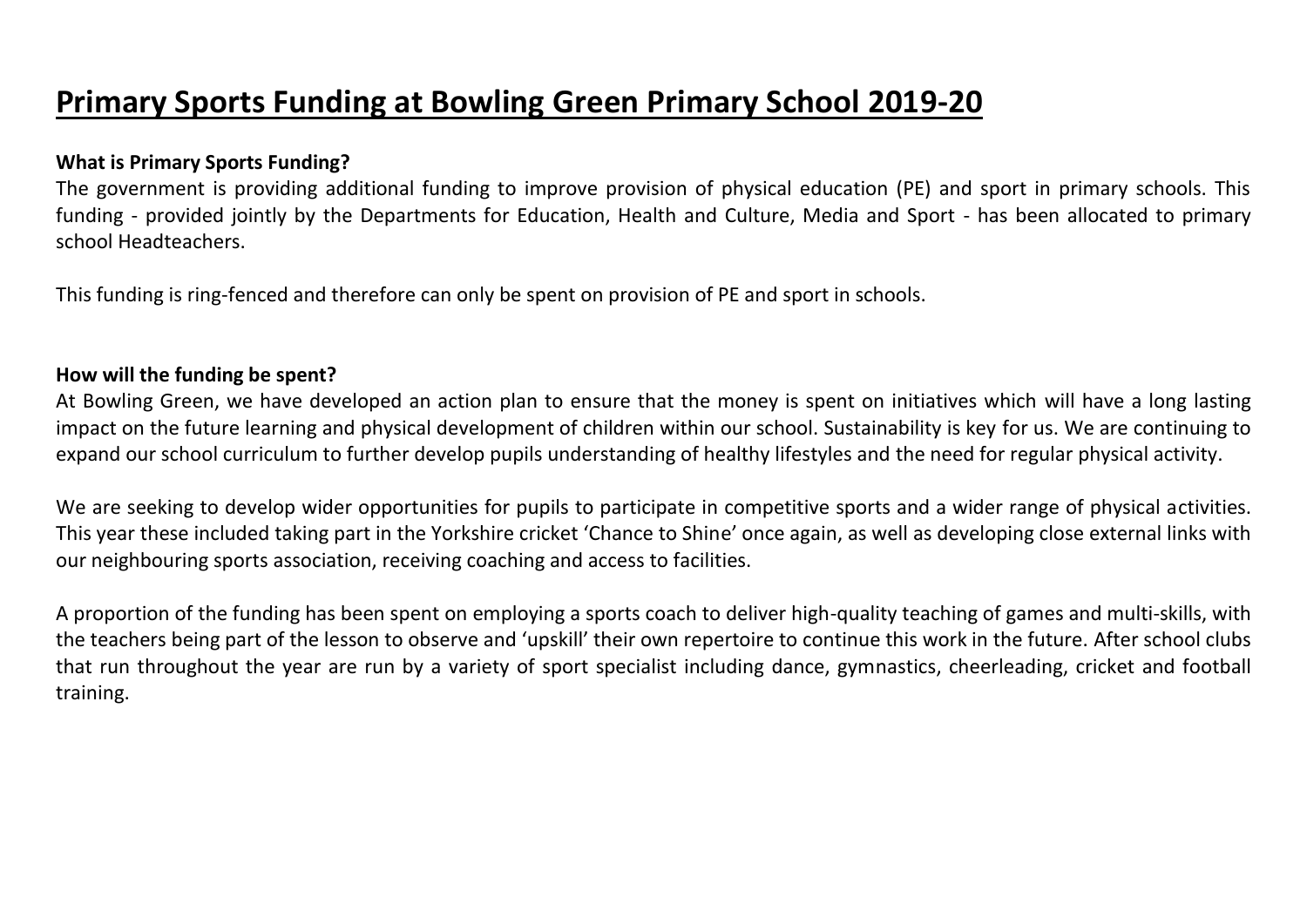## **Primary Sports Funding at Bowling Green Primary School 2019-20**

## **What is Primary Sports Funding?**

The government is providing additional funding to improve provision of physical education (PE) and sport in primary schools. This funding - provided jointly by the Departments for Education, Health and Culture, Media and Sport - has been allocated to primary school Headteachers.

This funding is ring-fenced and therefore can only be spent on provision of PE and sport in schools.

## **How will the funding be spent?**

At Bowling Green, we have developed an action plan to ensure that the money is spent on initiatives which will have a long lasting impact on the future learning and physical development of children within our school. Sustainability is key for us. We are continuing to expand our school curriculum to further develop pupils understanding of healthy lifestyles and the need for regular physical activity.

We are seeking to develop wider opportunities for pupils to participate in competitive sports and a wider range of physical activities. This year these included taking part in the Yorkshire cricket 'Chance to Shine' once again, as well as developing close external links with our neighbouring sports association, receiving coaching and access to facilities.

A proportion of the funding has been spent on employing a sports coach to deliver high-quality teaching of games and multi-skills, with the teachers being part of the lesson to observe and 'upskill' their own repertoire to continue this work in the future. After school clubs that run throughout the year are run by a variety of sport specialist including dance, gymnastics, cheerleading, cricket and football training.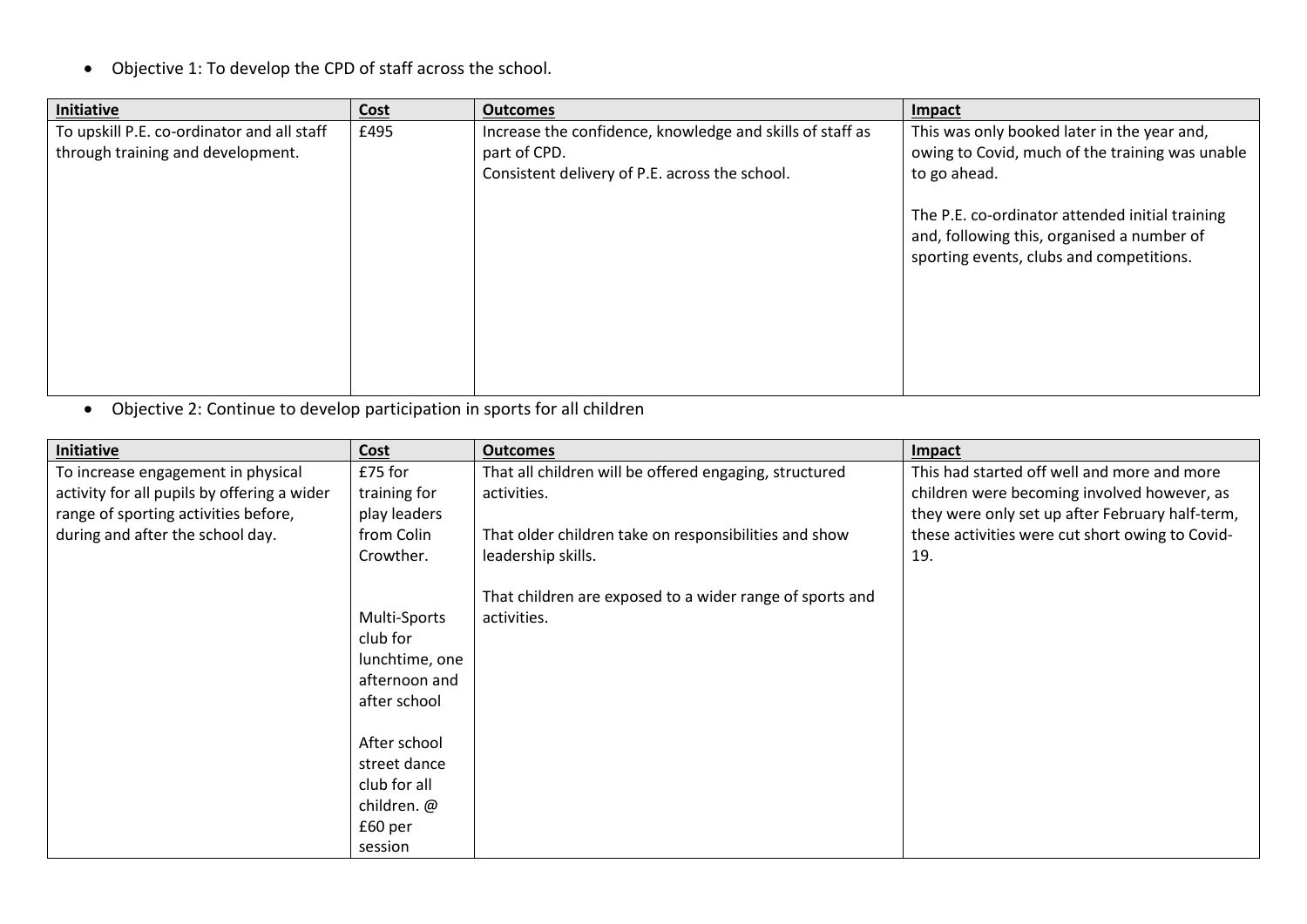• Objective 1: To develop the CPD of staff across the school.

| Initiative                                 | <b>Cost</b> | <b>Outcomes</b>                                           | Impact                                          |
|--------------------------------------------|-------------|-----------------------------------------------------------|-------------------------------------------------|
| To upskill P.E. co-ordinator and all staff | £495        | Increase the confidence, knowledge and skills of staff as | This was only booked later in the year and,     |
| through training and development.          |             | part of CPD.                                              | owing to Covid, much of the training was unable |
|                                            |             | Consistent delivery of P.E. across the school.            | to go ahead.                                    |
|                                            |             |                                                           |                                                 |
|                                            |             |                                                           | The P.E. co-ordinator attended initial training |
|                                            |             |                                                           | and, following this, organised a number of      |
|                                            |             |                                                           | sporting events, clubs and competitions.        |
|                                            |             |                                                           |                                                 |
|                                            |             |                                                           |                                                 |
|                                            |             |                                                           |                                                 |
|                                            |             |                                                           |                                                 |
|                                            |             |                                                           |                                                 |

• Objective 2: Continue to develop participation in sports for all children

| Initiative                                  | Cost           | <b>Outcomes</b>                                          | Impact                                          |
|---------------------------------------------|----------------|----------------------------------------------------------|-------------------------------------------------|
| To increase engagement in physical          | £75 for        | That all children will be offered engaging, structured   | This had started off well and more and more     |
| activity for all pupils by offering a wider | training for   | activities.                                              | children were becoming involved however, as     |
| range of sporting activities before,        | play leaders   |                                                          | they were only set up after February half-term, |
| during and after the school day.            | from Colin     | That older children take on responsibilities and show    | these activities were cut short owing to Covid- |
|                                             | Crowther.      | leadership skills.                                       | 19.                                             |
|                                             |                |                                                          |                                                 |
|                                             |                | That children are exposed to a wider range of sports and |                                                 |
|                                             | Multi-Sports   | activities.                                              |                                                 |
|                                             | club for       |                                                          |                                                 |
|                                             | lunchtime, one |                                                          |                                                 |
|                                             | afternoon and  |                                                          |                                                 |
|                                             | after school   |                                                          |                                                 |
|                                             |                |                                                          |                                                 |
|                                             | After school   |                                                          |                                                 |
|                                             | street dance   |                                                          |                                                 |
|                                             | club for all   |                                                          |                                                 |
|                                             | children. @    |                                                          |                                                 |
|                                             | £60 per        |                                                          |                                                 |
|                                             | session        |                                                          |                                                 |